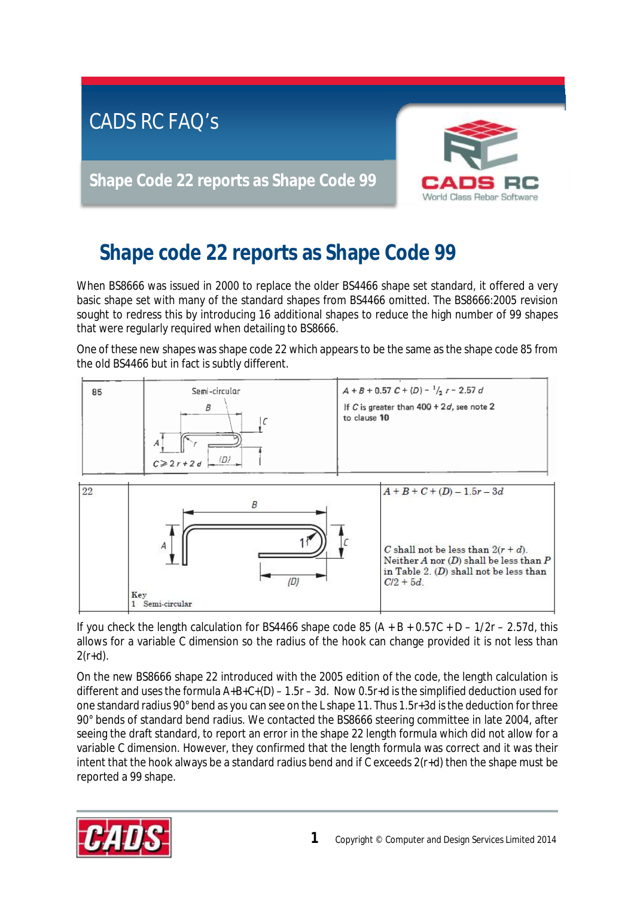

## **Shape code 22 reports as Shape Code 99**

When BS8666 was issued in 2000 to replace the older BS4466 shape set standard, it offered a very basic shape set with many of the standard shapes from BS4466 omitted. The BS8666:2005 revision sought to redress this by introducing 16 additional shapes to reduce the high number of 99 shapes that were regularly required when detailing to BS8666.

One of these new shapes was shape code 22 which appears to be the same as the shape code 85 from the old BS4466 but in fact is subtly different.





If you check the length calculation for BS4466 shape code 85  $(A + B + 0.57C + D - 1/2r - 2.57d)$ , this allows for a variable C dimension so the radius of the hook can change provided it is not less than  $2(r+d)$ .

On the new BS8666 shape 22 introduced with the 2005 edition of the code, the length calculation is different and uses the formula  $A+B+C+(D) - 1.5r - 3d$ . Now 0.5r+d is the simplified deduction used for one standard radius 90° bend as you can see on the L shape 11. Thus 1.5r+3d isthe deduction forthree 90° bends of standard bend radius. We contacted the BS8666 steering committee in late 2004, after seeing the draft standard, to report an error in the shape 22 length formula which did not allow for a variable C dimension. However, they confirmed that the length formula was correct and it was their intent that the hook always be a standard radius bend and if C exceeds 2(r+d) then the shape must be reported a 99 shape.